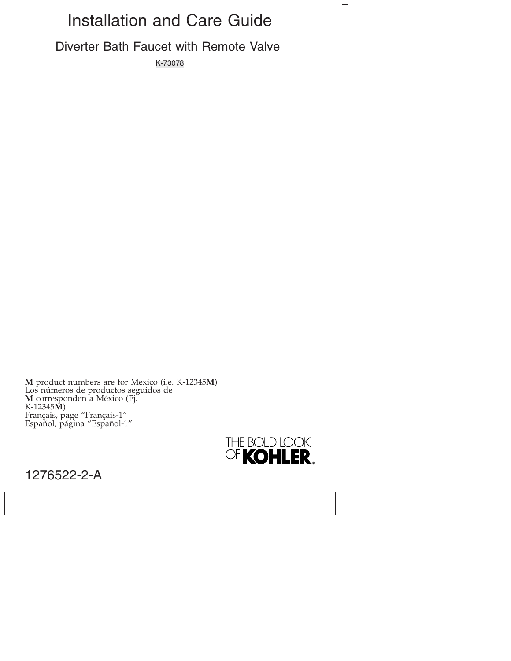# Installation and Care Guide

Diverter Bath Faucet with Remote Valve

K-73078

**M** product numbers are for Mexico (i.e. K-12345**M**) Los números de productos seguidos de **M** corresponden a México (Ej. K-12345**M**) Français, page "Français-1" Español, página "Español-1"



 $\overline{\phantom{0}}$ 

1276522-2-A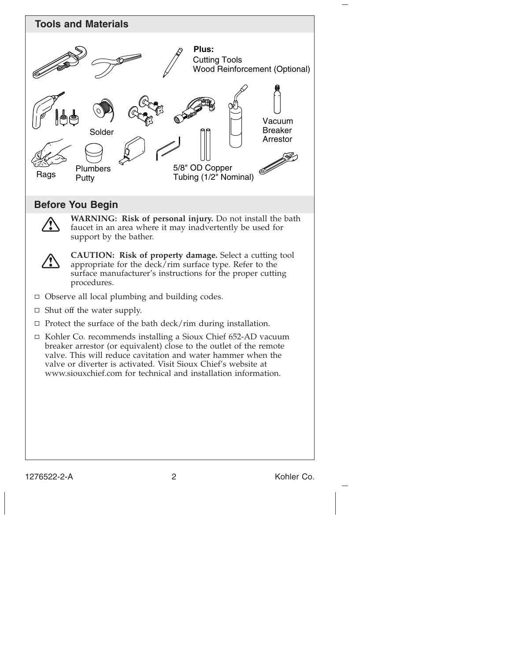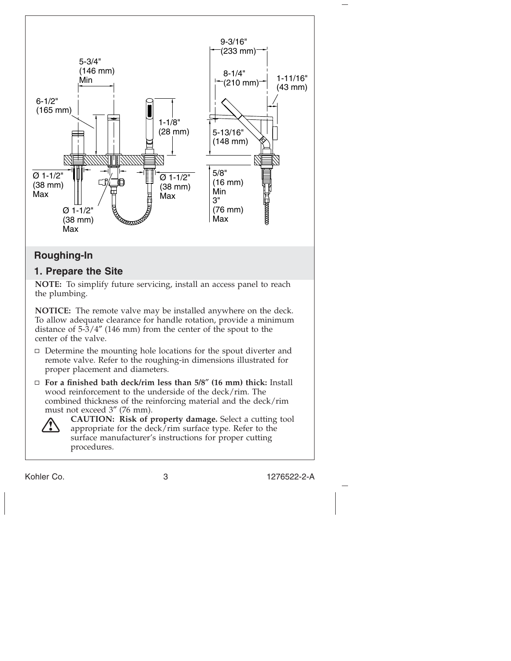

# **Roughing-In**

# **1. Prepare the Site**

**NOTE:** To simplify future servicing, install an access panel to reach the plumbing.

**NOTICE:** The remote valve may be installed anywhere on the deck. To allow adequate clearance for handle rotation, provide a minimum distance of 5-3/4″ (146 mm) from the center of the spout to the center of the valve.

- $\Box$  Determine the mounting hole locations for the spout diverter and remote valve. Refer to the roughing-in dimensions illustrated for proper placement and diameters.
- **For a finished bath deck/rim less than 5/8**″ **(16 mm) thick:** Install wood reinforcement to the underside of the deck/rim. The combined thickness of the reinforcing material and the deck/rim must not exceed 3″ (76 mm).



**CAUTION: Risk of property damage.** Select a cutting tool appropriate for the deck/rim surface type. Refer to the surface manufacturer's instructions for proper cutting procedures.

Kohler Co. 3 1276522-2-A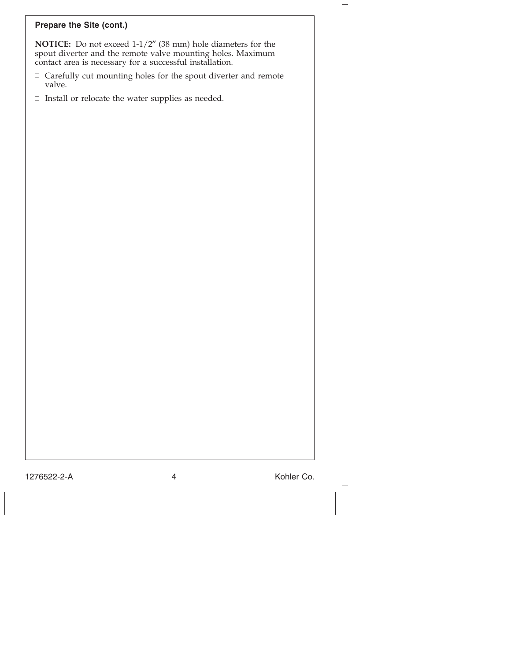# **Prepare the Site (cont.)**

**NOTICE:** Do not exceed 1-1/2″ (38 mm) hole diameters for the spout diverter and the remote valve mounting holes. Maximum contact area is necessary for a successful installation.

- $\Box$  Carefully cut mounting holes for the spout diverter and remote valve.
- $\hfill\Box$ <br> <br> Install or relocate the water supplies as needed.

1276522-2-A 4 Kohler Co.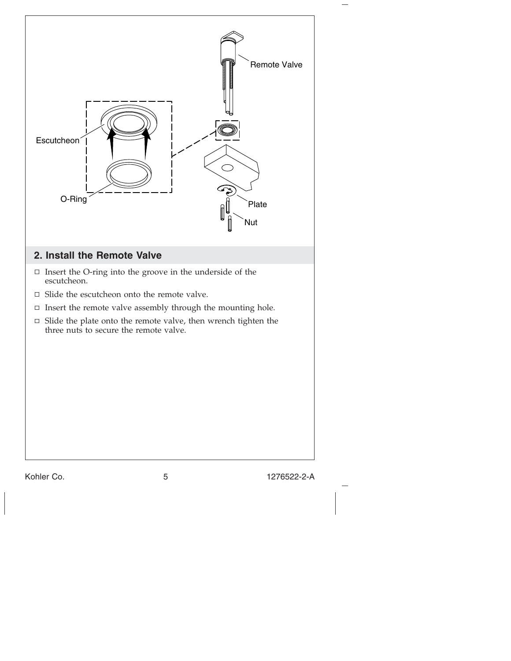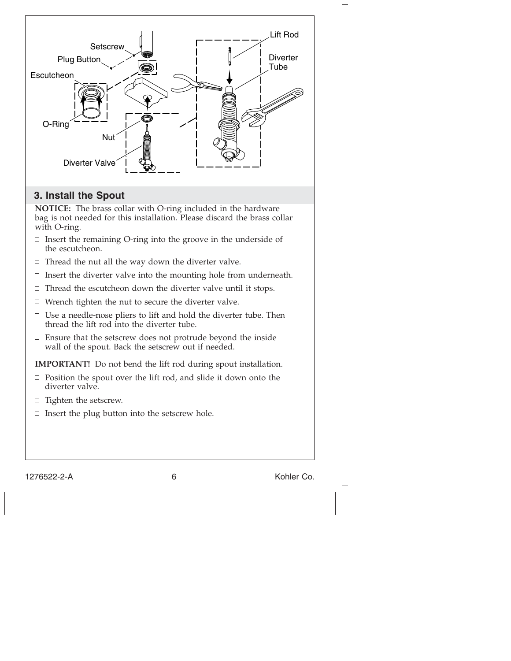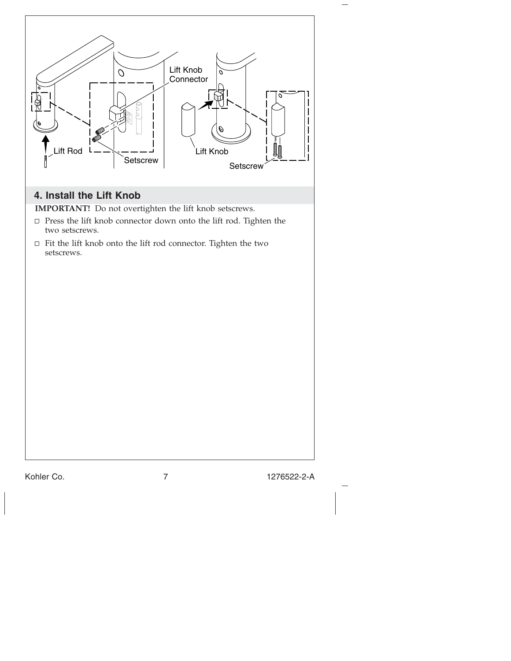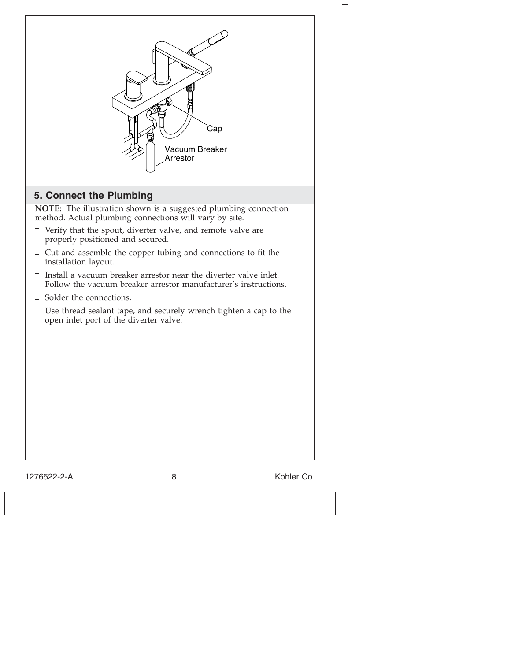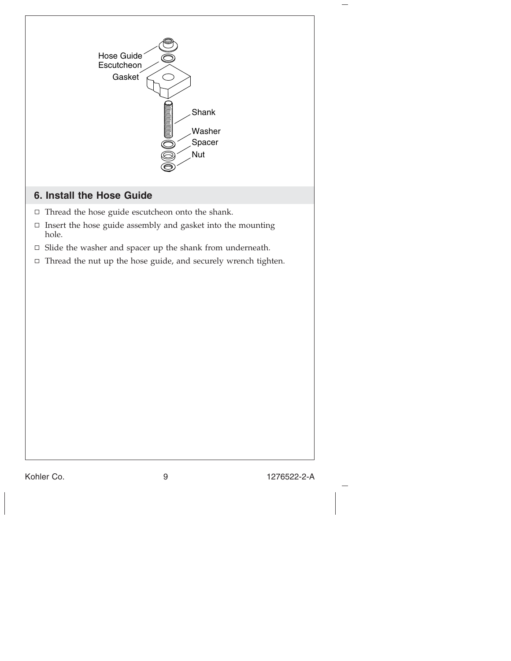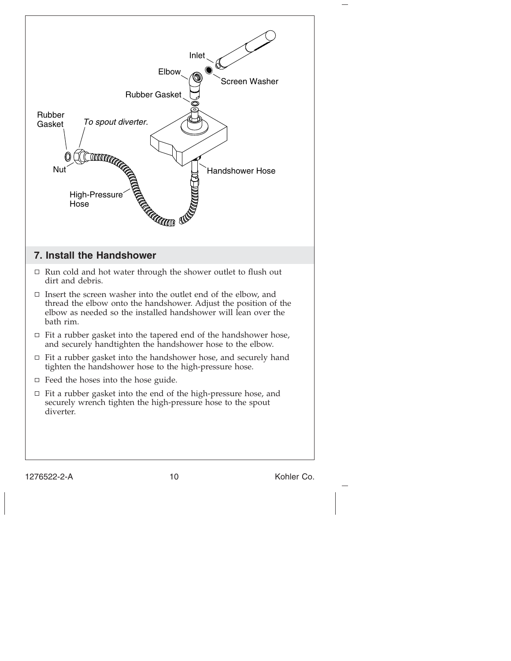

1276522-2-A 10 10 Kohler Co.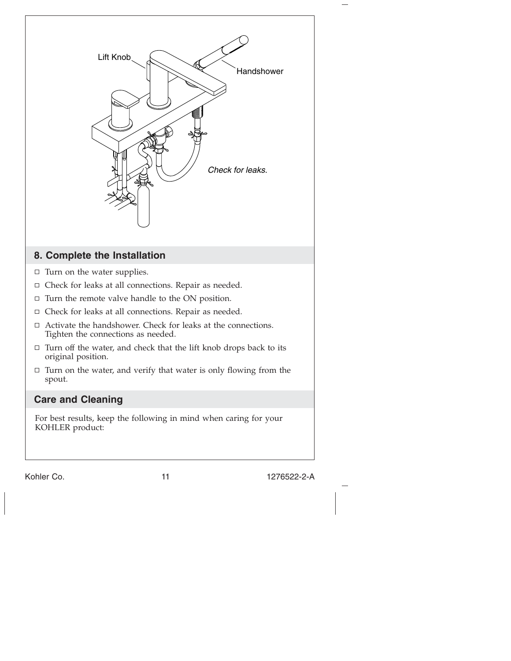

Kohler Co. 2008 2009 11 1276522-2-A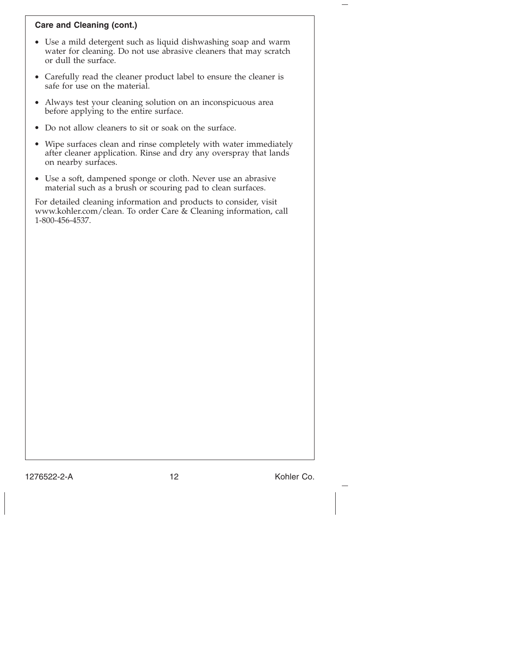# **Care and Cleaning (cont.)**

- Use a mild detergent such as liquid dishwashing soap and warm water for cleaning. Do not use abrasive cleaners that may scratch or dull the surface.
- Carefully read the cleaner product label to ensure the cleaner is safe for use on the material.
- Always test your cleaning solution on an inconspicuous area before applying to the entire surface.
- Do not allow cleaners to sit or soak on the surface.
- Wipe surfaces clean and rinse completely with water immediately after cleaner application. Rinse and dry any overspray that lands on nearby surfaces.
- Use a soft, dampened sponge or cloth. Never use an abrasive material such as a brush or scouring pad to clean surfaces.

For detailed cleaning information and products to consider, visit www.kohler.com/clean. To order Care & Cleaning information, call 1-800-456-4537.

1276522-2-A 12 Kohler Co.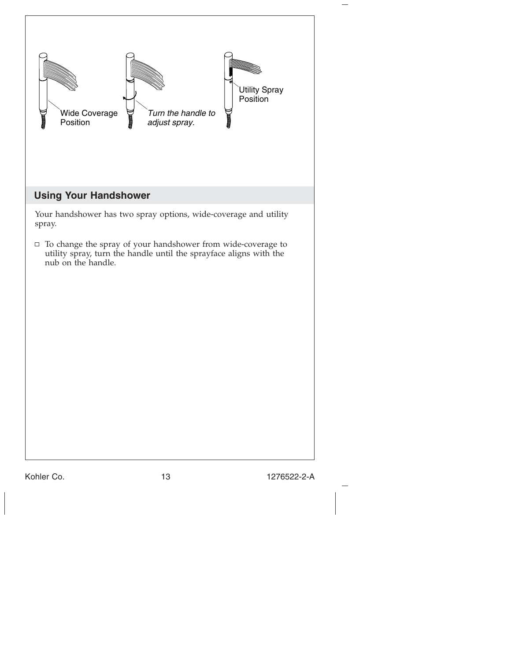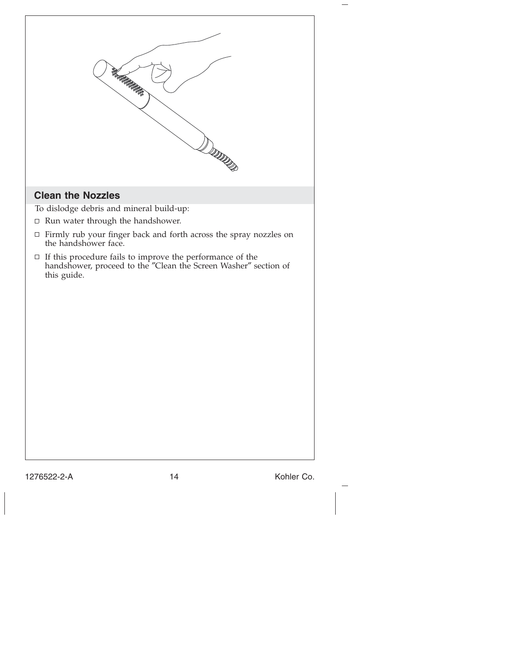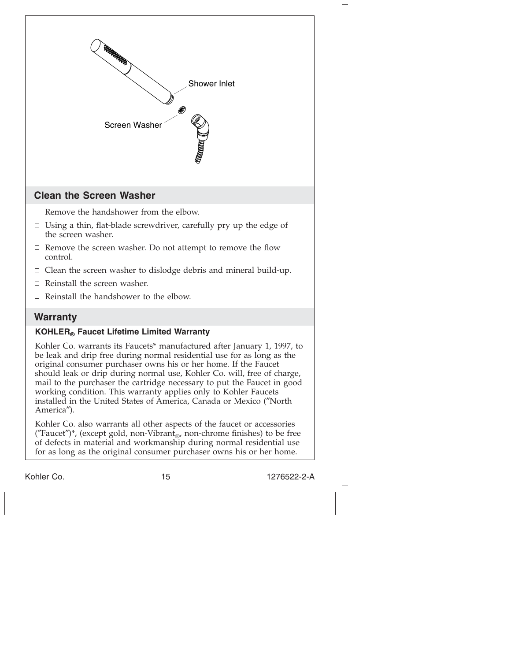

Kohler Co. also warrants all other aspects of the faucet or accessories ("Faucet")\*, (except gold, non-Vibrant<sub>®</sub>, non-chrome finishes) to be free of defects in material and workmanship during normal residential use for as long as the original consumer purchaser owns his or her home.

America″).

Kohler Co. 2008 2009 15 1276522-2-A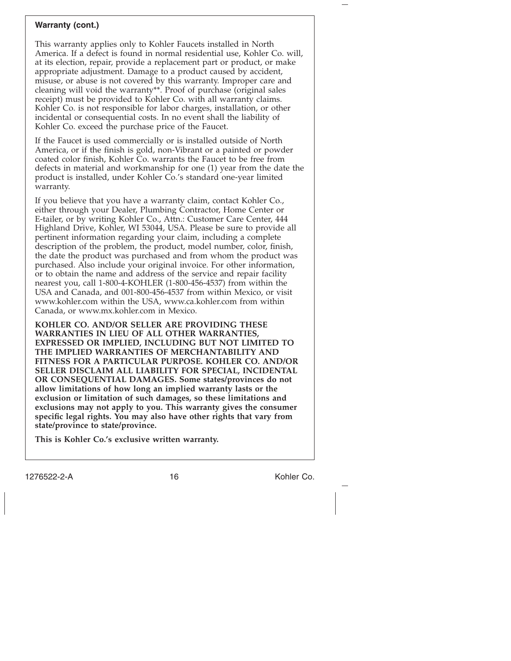#### **Warranty (cont.)**

This warranty applies only to Kohler Faucets installed in North America. If a defect is found in normal residential use, Kohler Co. will, at its election, repair, provide a replacement part or product, or make appropriate adjustment. Damage to a product caused by accident, misuse, or abuse is not covered by this warranty. Improper care and cleaning will void the warranty\*\*. Proof of purchase (original sales receipt) must be provided to Kohler Co. with all warranty claims. Kohler Co. is not responsible for labor charges, installation, or other incidental or consequential costs. In no event shall the liability of Kohler Co. exceed the purchase price of the Faucet.

If the Faucet is used commercially or is installed outside of North America, or if the finish is gold, non-Vibrant or a painted or powder coated color finish, Kohler Co. warrants the Faucet to be free from defects in material and workmanship for one (1) year from the date the product is installed, under Kohler Co.'s standard one-year limited warranty.

If you believe that you have a warranty claim, contact Kohler Co., either through your Dealer, Plumbing Contractor, Home Center or E-tailer, or by writing Kohler Co., Attn.: Customer Care Center, 444 Highland Drive, Kohler, WI 53044, USA. Please be sure to provide all pertinent information regarding your claim, including a complete description of the problem, the product, model number, color, finish, the date the product was purchased and from whom the product was purchased. Also include your original invoice. For other information, or to obtain the name and address of the service and repair facility nearest you, call 1-800-4-KOHLER (1-800-456-4537) from within the USA and Canada, and 001-800-456-4537 from within Mexico, or visit www.kohler.com within the USA, www.ca.kohler.com from within Canada, or www.mx.kohler.com in Mexico.

**KOHLER CO. AND/OR SELLER ARE PROVIDING THESE WARRANTIES IN LIEU OF ALL OTHER WARRANTIES, EXPRESSED OR IMPLIED, INCLUDING BUT NOT LIMITED TO THE IMPLIED WARRANTIES OF MERCHANTABILITY AND FITNESS FOR A PARTICULAR PURPOSE. KOHLER CO. AND/OR SELLER DISCLAIM ALL LIABILITY FOR SPECIAL, INCIDENTAL OR CONSEQUENTIAL DAMAGES. Some states/provinces do not allow limitations of how long an implied warranty lasts or the exclusion or limitation of such damages, so these limitations and exclusions may not apply to you. This warranty gives the consumer specific legal rights. You may also have other rights that vary from state/province to state/province.**

**This is Kohler Co.'s exclusive written warranty.**

1276522-2-A 16 16 Kohler Co.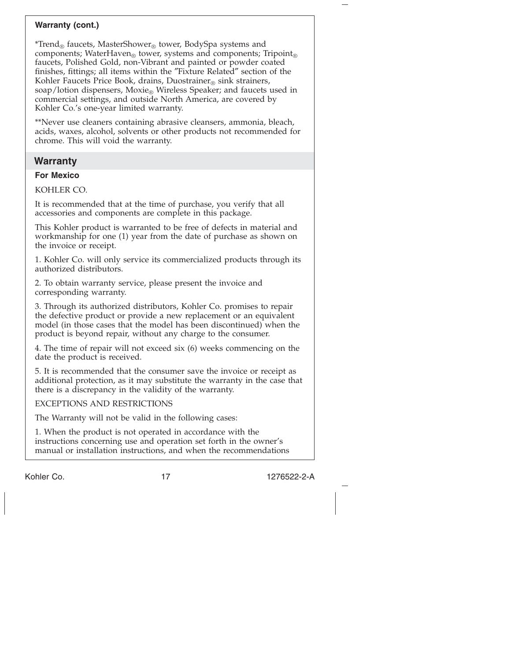# **Warranty (cont.)**

\*Trend<sub>®</sub> faucets, MasterShower<sub>®</sub> tower, BodySpa systems and components; WaterHaven<sub>®</sub> tower, systems and components; Tripoint<sub>®</sub> faucets, Polished Gold, non-Vibrant and painted or powder coated finishes, fittings; all items within the ″Fixture Related″ section of the Kohler Faucets Price Book, drains, Duostrainer® sink strainers, soap/lotion dispensers, Moxie<sub>®</sub> Wireless Speaker; and faucets used in commercial settings, and outside North America, are covered by Kohler Co.'s one-year limited warranty.

\*\*Never use cleaners containing abrasive cleansers, ammonia, bleach, acids, waxes, alcohol, solvents or other products not recommended for chrome. This will void the warranty.

# **Warranty**

### **For Mexico**

KOHLER CO.

It is recommended that at the time of purchase, you verify that all accessories and components are complete in this package.

This Kohler product is warranted to be free of defects in material and workmanship for one (1) year from the date of purchase as shown on the invoice or receipt.

1. Kohler Co. will only service its commercialized products through its authorized distributors.

2. To obtain warranty service, please present the invoice and corresponding warranty.

3. Through its authorized distributors, Kohler Co. promises to repair the defective product or provide a new replacement or an equivalent model (in those cases that the model has been discontinued) when the product is beyond repair, without any charge to the consumer.

4. The time of repair will not exceed six (6) weeks commencing on the date the product is received.

5. It is recommended that the consumer save the invoice or receipt as additional protection, as it may substitute the warranty in the case that there is a discrepancy in the validity of the warranty.

### EXCEPTIONS AND RESTRICTIONS

The Warranty will not be valid in the following cases:

1. When the product is not operated in accordance with the instructions concerning use and operation set forth in the owner's manual or installation instructions, and when the recommendations

Kohler Co. 2008 17 17 1276522-2-A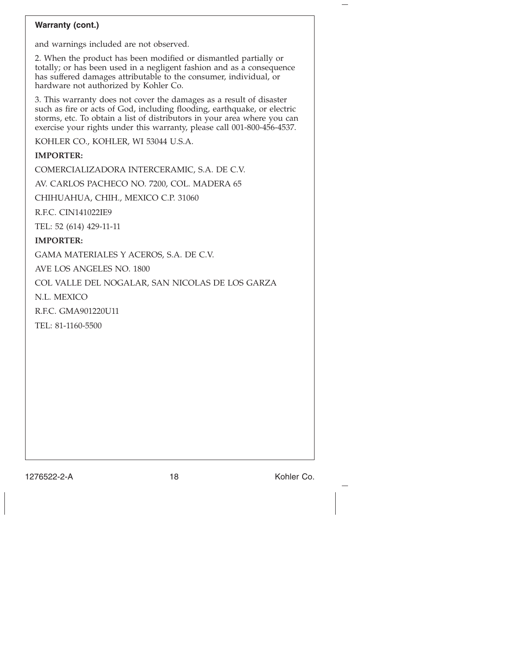# **Warranty (cont.)**

and warnings included are not observed.

2. When the product has been modified or dismantled partially or totally; or has been used in a negligent fashion and as a consequence has suffered damages attributable to the consumer, individual, or hardware not authorized by Kohler Co.

3. This warranty does not cover the damages as a result of disaster such as fire or acts of God, including flooding, earthquake, or electric storms, etc. To obtain a list of distributors in your area where you can exercise your rights under this warranty, please call 001-800-456-4537.

KOHLER CO., KOHLER, WI 53044 U.S.A.

# **IMPORTER:**

COMERCIALIZADORA INTERCERAMIC, S.A. DE C.V.

AV. CARLOS PACHECO NO. 7200, COL. MADERA 65

CHIHUAHUA, CHIH., MEXICO C.P. 31060

R.F.C. CIN141022IE9

TEL: 52 (614) 429-11-11

### **IMPORTER:**

GAMA MATERIALES Y ACEROS, S.A. DE C.V.

AVE LOS ANGELES NO. 1800

COL VALLE DEL NOGALAR, SAN NICOLAS DE LOS GARZA

N.L. MEXICO

R.F.C. GMA901220U11

TEL: 81-1160-5500

1276522-2-A 18 18 Kohler Co.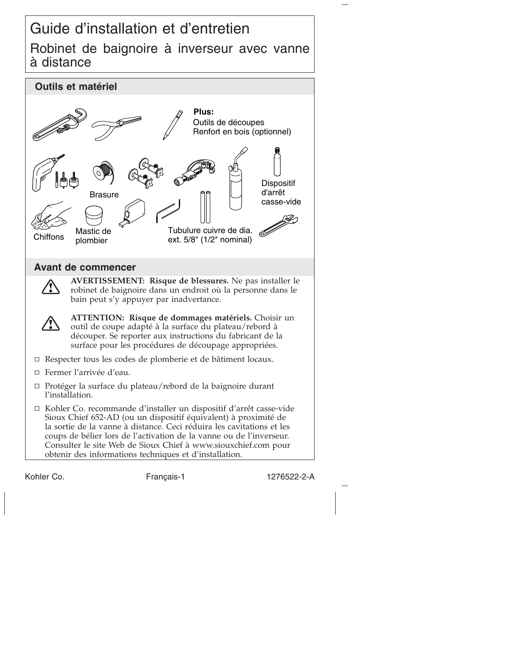# Guide d'installation et d'entretien Robinet de baignoire à inverseur avec vanne à distance



Kohler Co. Français-1 1276522-2-A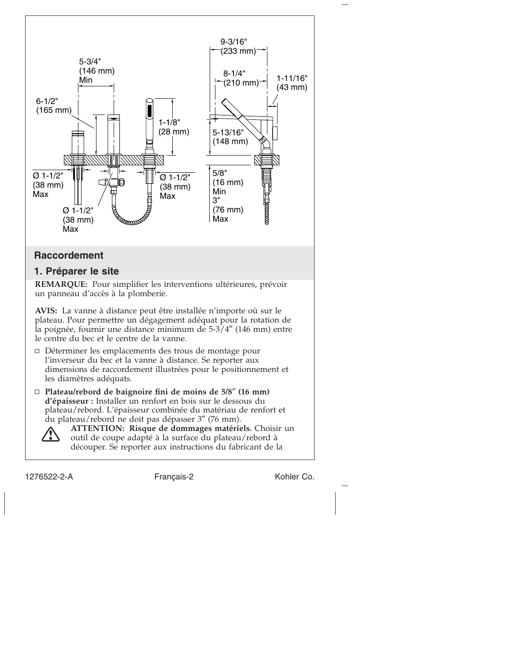

plateau. Pour permettre un dégagement adéquat pour la rotation de la poignée, fournir une distance minimum de 5-3/4″ (146 mm) entre le centre du bec et le centre de la vanne.

- Déterminer les emplacements des trous de montage pour l'inverseur du bec et la vanne à distance. Se reporter aux dimensions de raccordement illustrées pour le positionnement et les diamètres adéquats.
- **Plateau/rebord de baignoire fini de moins de 5/8**″ **(16 mm) d'épaisseur :** Installer un renfort en bois sur le dessous du plateau/rebord. L'épaisseur combinée du matériau de renfort et du plateau/rebord ne doit pas dépasser 3″ (76 mm).



**ATTENTION: Risque de dommages matériels.** Choisir un outil de coupe adapté à la surface du plateau/rebord à découper. Se reporter aux instructions du fabricant de la

1276522-2-A Français-2 Kohler Co.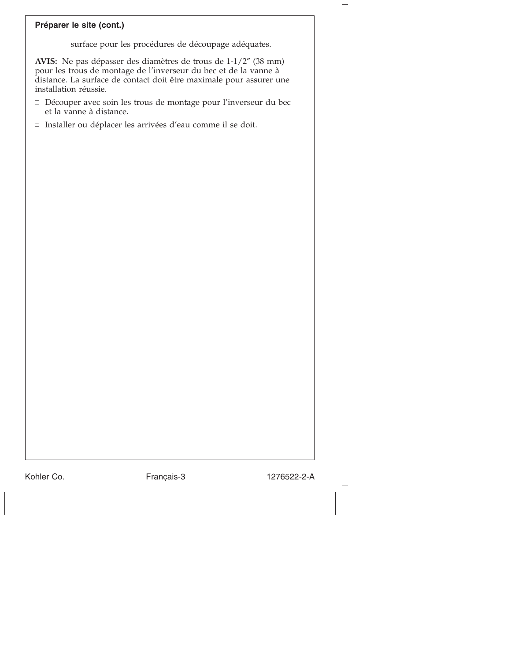# **Préparer le site (cont.)**

surface pour les procédures de découpage adéquates.

**AVIS:** Ne pas dépasser des diamètres de trous de 1-1/2″ (38 mm) pour les trous de montage de l'inverseur du bec et de la vanne à distance. La surface de contact doit être maximale pour assurer une installation réussie.

- Découper avec soin les trous de montage pour l'inverseur du bec et la vanne à distance.
- □ Installer ou déplacer les arrivées d'eau comme il se doit.

Kohler Co. **Français-3** 1276522-2-A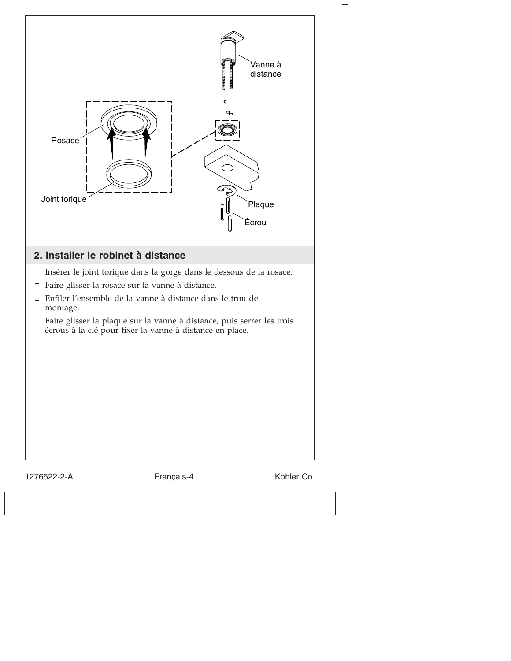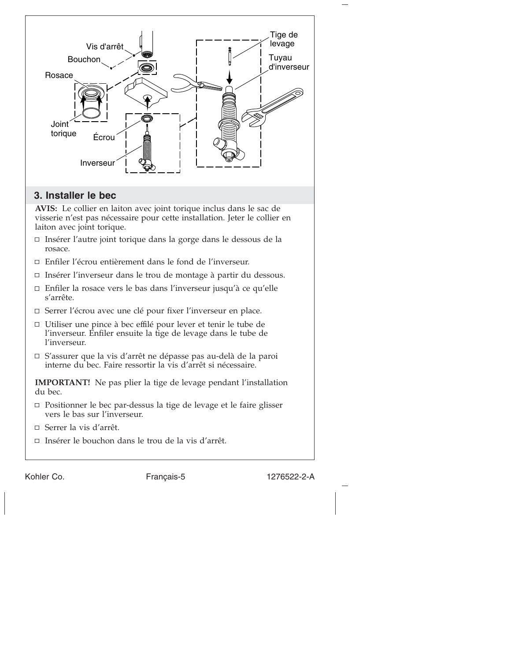

- vers le bas sur l'inverseur.
- Serrer la vis d'arrêt.
- Insérer le bouchon dans le trou de la vis d'arrêt.

Kohler Co. Français-5 1276522-2-A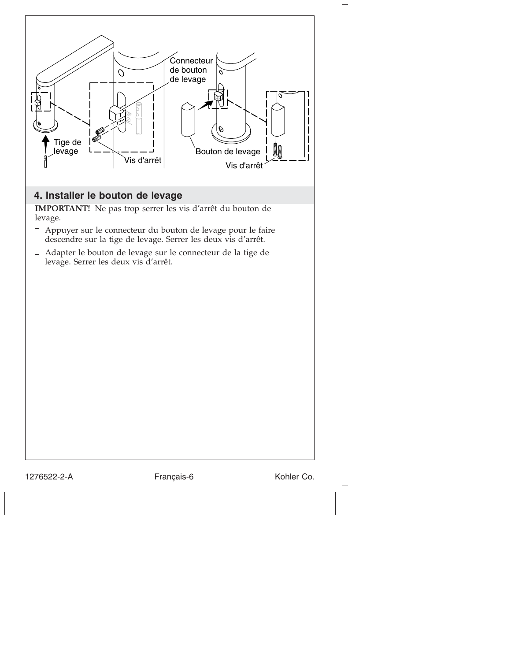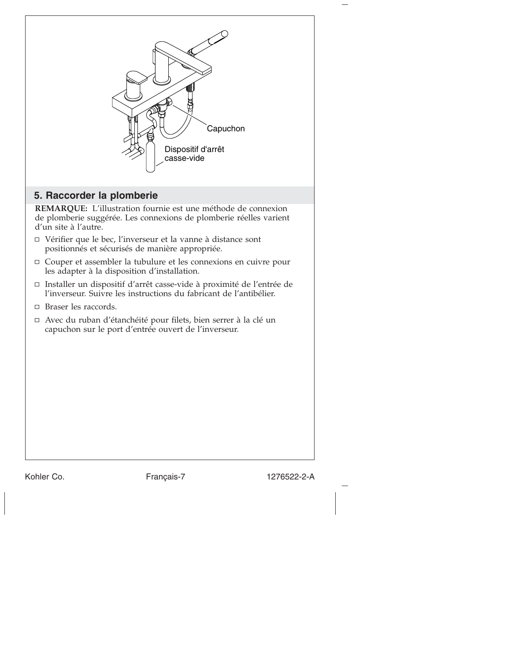

Kohler Co. **Français-7** 1276522-2-A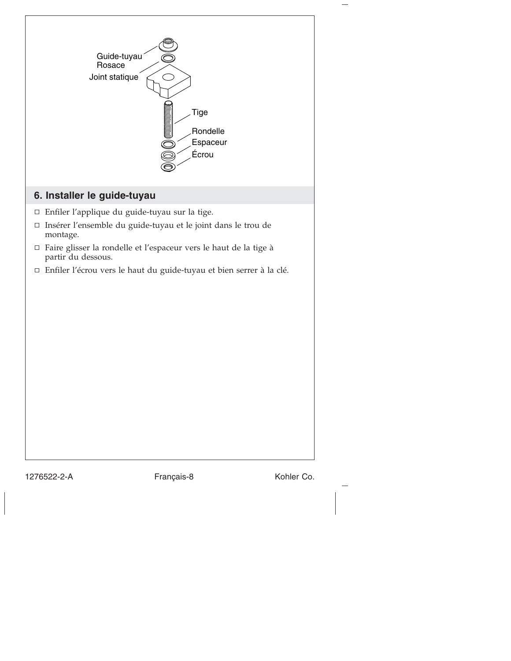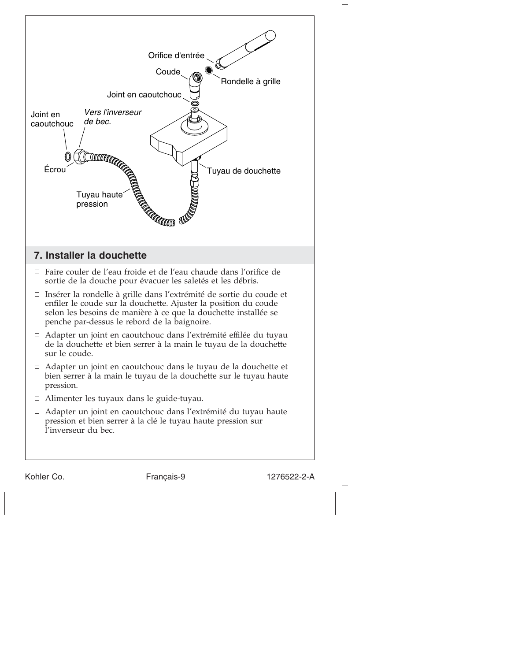

Kohler Co. Français-9 1276522-2-A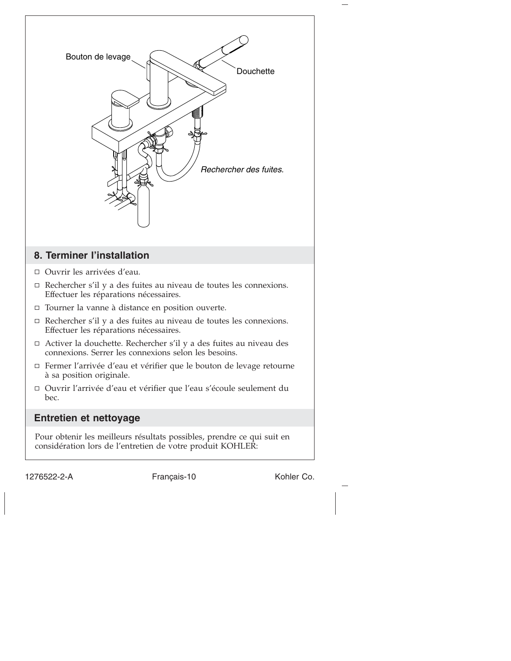

1276522-2-A Français-10 Kohler Co.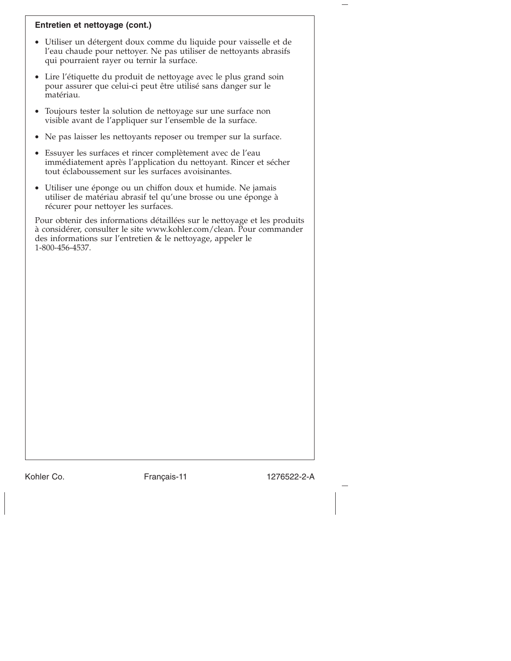# **Entretien et nettoyage (cont.)**

- Utiliser un détergent doux comme du liquide pour vaisselle et de l'eau chaude pour nettoyer. Ne pas utiliser de nettoyants abrasifs qui pourraient rayer ou ternir la surface.
- Lire l'étiquette du produit de nettoyage avec le plus grand soin pour assurer que celui-ci peut être utilisé sans danger sur le matériau.
- Toujours tester la solution de nettoyage sur une surface non visible avant de l'appliquer sur l'ensemble de la surface.
- Ne pas laisser les nettoyants reposer ou tremper sur la surface.
- Essuyer les surfaces et rincer complètement avec de l'eau immédiatement après l'application du nettoyant. Rincer et sécher tout éclaboussement sur les surfaces avoisinantes.
- Utiliser une éponge ou un chiffon doux et humide. Ne jamais utiliser de matériau abrasif tel qu'une brosse ou une éponge à récurer pour nettoyer les surfaces.

Pour obtenir des informations détaillées sur le nettoyage et les produits à considérer, consulter le site www.kohler.com/clean. Pour commander des informations sur l'entretien & le nettoyage, appeler le 1-800-456-4537.

Kohler Co. Français-11 1276522-2-A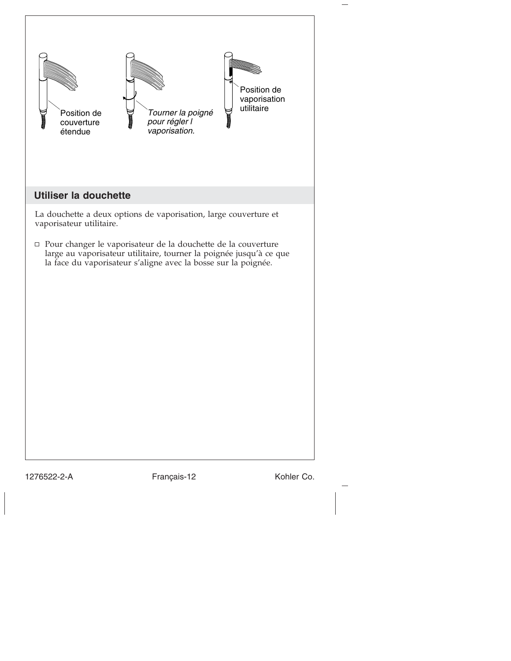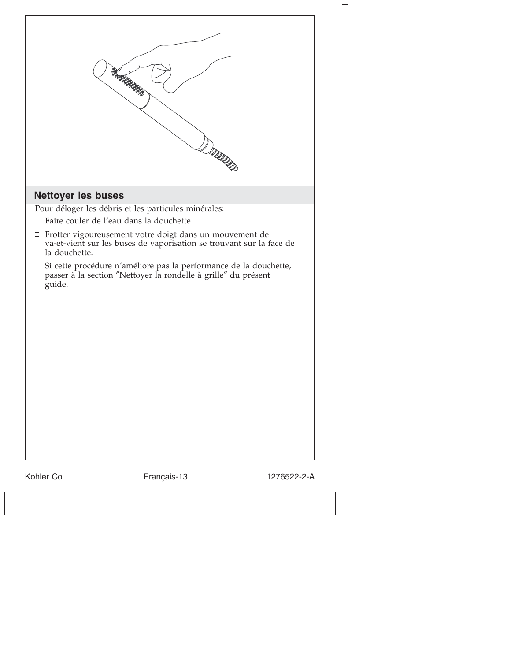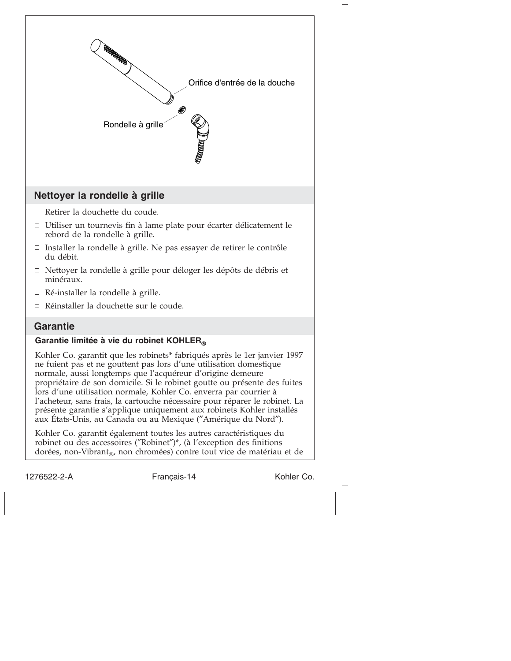

1276522-2-A Français-14 Kohler Co.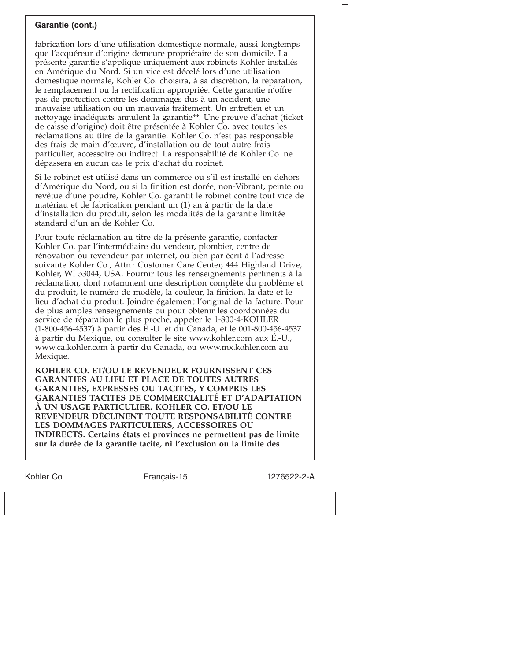# **Garantie (cont.)**

fabrication lors d'une utilisation domestique normale, aussi longtemps que l'acquéreur d'origine demeure propriétaire de son domicile. La présente garantie s'applique uniquement aux robinets Kohler installés en Amérique du Nord. Si un vice est décelé lors d'une utilisation domestique normale, Kohler Co. choisira, à sa discrétion, la réparation, le remplacement ou la rectification appropriée. Cette garantie n'offre pas de protection contre les dommages dus à un accident, une mauvaise utilisation ou un mauvais traitement. Un entretien et un nettoyage inadéquats annulent la garantie\*\*. Une preuve d'achat (ticket de caisse d'origine) doit être présentée à Kohler Co. avec toutes les réclamations au titre de la garantie. Kohler Co. n'est pas responsable des frais de main-d'œuvre, d'installation ou de tout autre frais particulier, accessoire ou indirect. La responsabilité de Kohler Co. ne dépassera en aucun cas le prix d'achat du robinet.

Si le robinet est utilisé dans un commerce ou s'il est installé en dehors d'Amérique du Nord, ou si la finition est dorée, non-Vibrant, peinte ou revêtue d'une poudre, Kohler Co. garantit le robinet contre tout vice de matériau et de fabrication pendant un (1) an à partir de la date d'installation du produit, selon les modalités de la garantie limitée standard d'un an de Kohler Co.

Pour toute réclamation au titre de la présente garantie, contacter Kohler Co. par l'intermédiaire du vendeur, plombier, centre de rénovation ou revendeur par internet, ou bien par écrit à l'adresse suivante Kohler Co., Attn.: Customer Care Center, 444 Highland Drive, Kohler, WI 53044, USA. Fournir tous les renseignements pertinents à la réclamation, dont notamment une description complète du problème et du produit, le numéro de modèle, la couleur, la finition, la date et le lieu d'achat du produit. Joindre également l'original de la facture. Pour de plus amples renseignements ou pour obtenir les coordonnées du service de réparation le plus proche, appeler le 1-800-4-KOHLER (1-800-456-4537) à partir des E.-U. et du Canada, et le 001-800-456-4537 à partir du Mexique, ou consulter le site www.kohler.com aux É.-U., www.ca.kohler.com à partir du Canada, ou www.mx.kohler.com au Mexique.

**KOHLER CO. ET/OU LE REVENDEUR FOURNISSENT CES GARANTIES AU LIEU ET PLACE DE TOUTES AUTRES GARANTIES, EXPRESSES OU TACITES, Y COMPRIS LES GARANTIES TACITES DE COMMERCIALITÉ ET D'ADAPTATION À UN USAGE PARTICULIER. KOHLER CO. ET/OU LE REVENDEUR DÉCLINENT TOUTE RESPONSABILITÉ CONTRE LES DOMMAGES PARTICULIERS, ACCESSOIRES OU INDIRECTS. Certains états et provinces ne permettent pas de limite sur la durée de la garantie tacite, ni l'exclusion ou la limite des**

Kohler Co. Français-15 1276522-2-A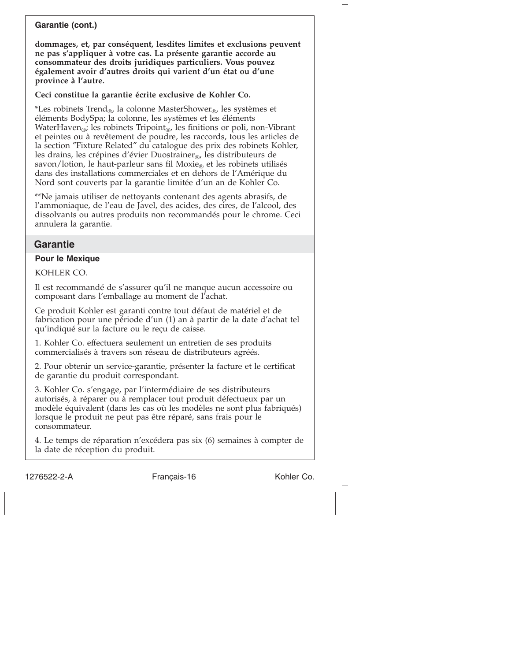# **Garantie (cont.)**

**dommages, et, par conséquent, lesdites limites et exclusions peuvent ne pas s'appliquer à votre cas. La présente garantie accorde au consommateur des droits juridiques particuliers. Vous pouvez également avoir d'autres droits qui varient d'un état ou d'une province à l'autre.**

**Ceci constitue la garantie écrite exclusive de Kohler Co.**

\*Les robinets Trend<sub>®</sub>, la colonne MasterShower<sub>®</sub>, les systèmes et éléments BodySpa; la colonne, les systèmes et les éléments WaterHaven<sub>®</sub>; les robinets Tripoint<sub>®</sub>, les finitions or poli, non-Vibrant et peintes ou à revêtement de poudre, les raccords, tous les articles de la section ″Fixture Related″ du catalogue des prix des robinets Kohler, les drains, les crépines d'évier Duostrainer<sub>®</sub>, les distributeurs de savon/lotion, le haut-parleur sans fil Moxie<sub>®</sub> et les robinets utilisés dans des installations commerciales et en dehors de l'Amérique du Nord sont couverts par la garantie limitée d'un an de Kohler Co.

\*\*Ne jamais utiliser de nettoyants contenant des agents abrasifs, de l'ammoniaque, de l'eau de Javel, des acides, des cires, de l'alcool, des dissolvants ou autres produits non recommandés pour le chrome. Ceci annulera la garantie.

# **Garantie**

### **Pour le Mexique**

KOHLER CO.

Il est recommandé de s'assurer qu'il ne manque aucun accessoire ou composant dans l'emballage au moment de l'achat.

Ce produit Kohler est garanti contre tout défaut de matériel et de fabrication pour une période d'un (1) an à partir de la date d'achat tel qu'indiqué sur la facture ou le reçu de caisse.

1. Kohler Co. effectuera seulement un entretien de ses produits commercialisés à travers son réseau de distributeurs agréés.

2. Pour obtenir un service-garantie, présenter la facture et le certificat de garantie du produit correspondant.

3. Kohler Co. s'engage, par l'intermédiaire de ses distributeurs autorisés, à réparer ou à remplacer tout produit défectueux par un modèle équivalent (dans les cas où les modèles ne sont plus fabriqués) lorsque le produit ne peut pas être réparé, sans frais pour le consommateur.

4. Le temps de réparation n'excédera pas six (6) semaines à compter de la date de réception du produit.

1276522-2-A Français-16 Kohler Co.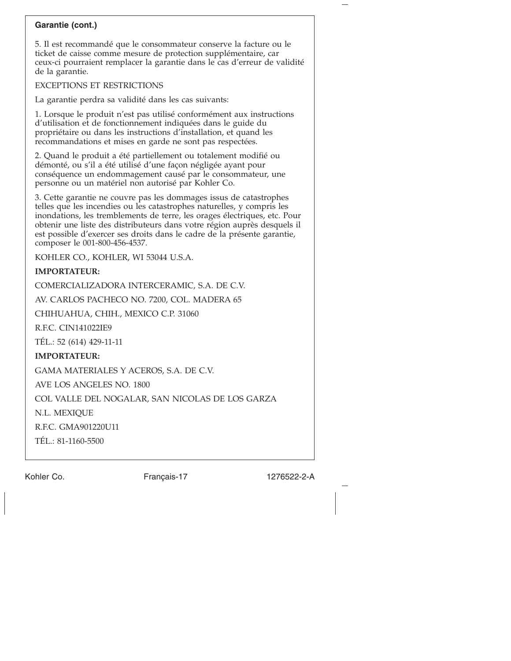# **Garantie (cont.)**

5. Il est recommandé que le consommateur conserve la facture ou le ticket de caisse comme mesure de protection supplémentaire, car ceux-ci pourraient remplacer la garantie dans le cas d'erreur de validité de la garantie.

#### EXCEPTIONS ET RESTRICTIONS

La garantie perdra sa validité dans les cas suivants:

1. Lorsque le produit n'est pas utilisé conformément aux instructions d'utilisation et de fonctionnement indiquées dans le guide du propriétaire ou dans les instructions d'installation, et quand les recommandations et mises en garde ne sont pas respectées.

2. Quand le produit a été partiellement ou totalement modifié ou démonté, ou s'il a été utilisé d'une façon négligée ayant pour conséquence un endommagement causé par le consommateur, une personne ou un matériel non autorisé par Kohler Co.

3. Cette garantie ne couvre pas les dommages issus de catastrophes telles que les incendies ou les catastrophes naturelles, y compris les inondations, les tremblements de terre, les orages électriques, etc. Pour obtenir une liste des distributeurs dans votre région auprès desquels il est possible d'exercer ses droits dans le cadre de la présente garantie, composer le 001-800-456-4537.

KOHLER CO., KOHLER, WI 53044 U.S.A.

# **IMPORTATEUR:**

COMERCIALIZADORA INTERCERAMIC, S.A. DE C.V.

AV. CARLOS PACHECO NO. 7200, COL. MADERA 65

CHIHUAHUA, CHIH., MEXICO C.P. 31060

R.F.C. CIN141022IE9

TÉL.: 52 (614) 429-11-11

# **IMPORTATEUR:**

GAMA MATERIALES Y ACEROS, S.A. DE C.V.

AVE LOS ANGELES NO. 1800

COL VALLE DEL NOGALAR, SAN NICOLAS DE LOS GARZA

N.L. MEXIQUE

R.F.C. GMA901220U11

TÉL.: 81-1160-5500

Kohler Co. Français-17 1276522-2-A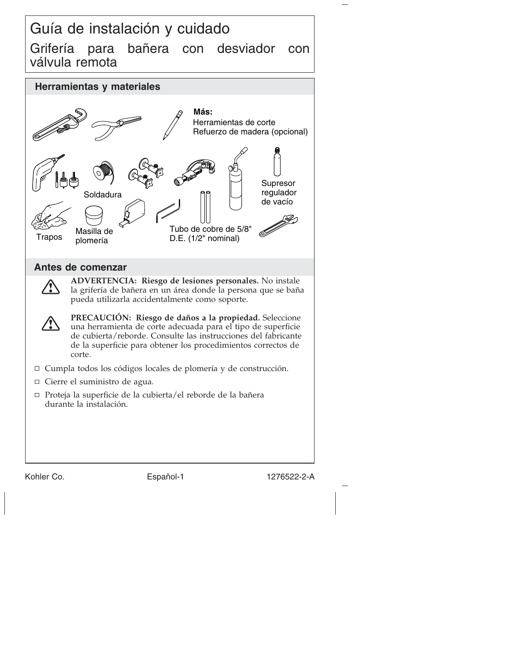# Guía de instalación y cuidado Grifería para bañera con desviador con válvula remota



Kohler Co. **Español-1** 1276522-2-A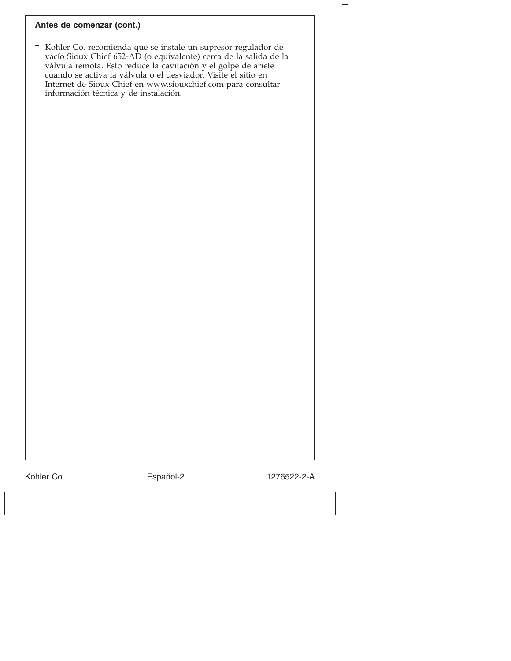#### **Antes de comenzar (cont.)**

□ Kohler Co. recomienda que se instale un supresor regulador de vacío Sioux Chief 652-AD (o equivalente) cerca de la salida de la válvula remota. Esto reduce la cavitación y el golpe de ariete cuando se activa la válvula o el desviador. Visite el sitio en Internet de Sioux Chief en www.siouxchief.com para consultar información técnica y de instalación.

Kohler Co. **Español-2** 1276522-2-A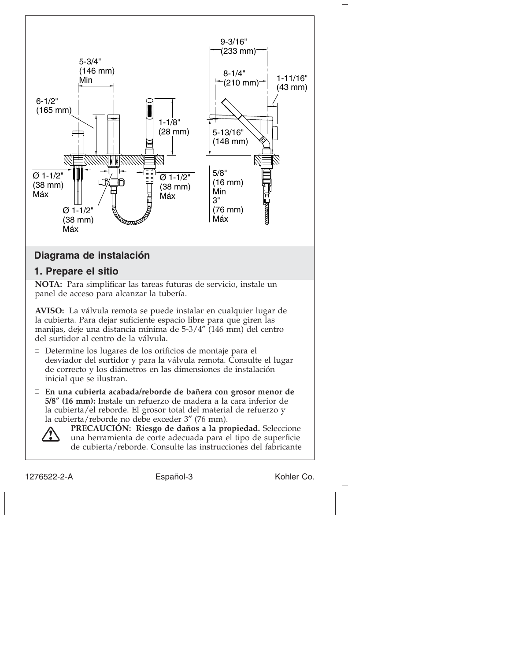



**PRECAUCIÓN: Riesgo de daños a la propiedad.** Seleccione una herramienta de corte adecuada para el tipo de superficie de cubierta/reborde. Consulte las instrucciones del fabricante

1276522-2-A Español-3 Kohler Co.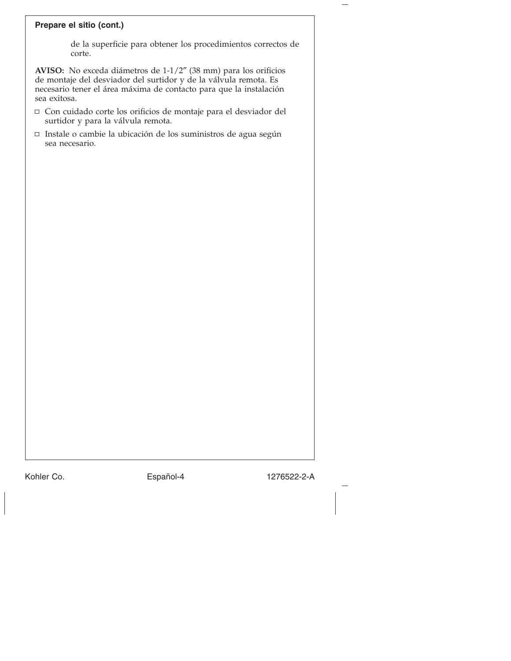### **Prepare el sitio (cont.)**

de la superficie para obtener los procedimientos correctos de corte.

**AVISO:** No exceda diámetros de 1-1/2″ (38 mm) para los orificios de montaje del desviador del surtidor y de la válvula remota. Es necesario tener el área máxima de contacto para que la instalación sea exitosa.

- Con cuidado corte los orificios de montaje para el desviador del surtidor y para la válvula remota.
- Instale o cambie la ubicación de los suministros de agua según sea necesario.

Kohler Co. **Español-4** 1276522-2-A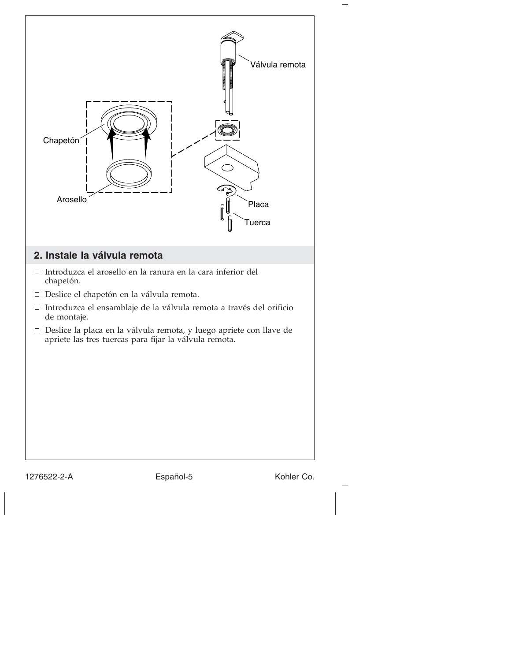

1276522-2-A Español-5 Kohler Co.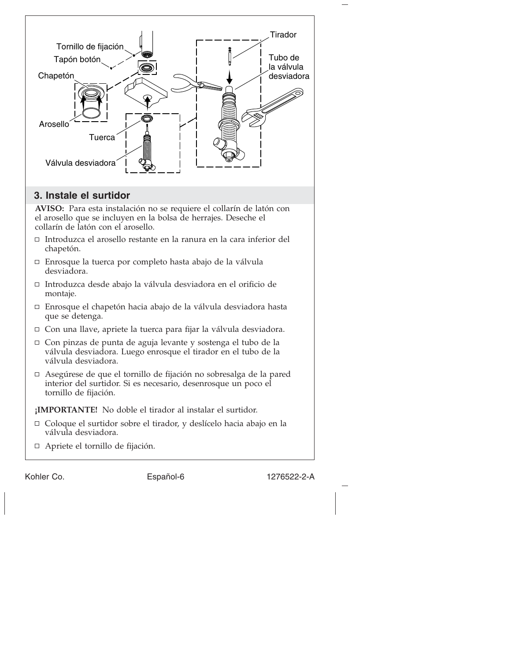

- collarín de latón con el arosello. Introduzca el arosello restante en la ranura en la cara inferior del
- chapetón.
- Enrosque la tuerca por completo hasta abajo de la válvula desviadora.
- Introduzca desde abajo la válvula desviadora en el orificio de montaje.
- Enrosque el chapetón hacia abajo de la válvula desviadora hasta que se detenga.
- Con una llave, apriete la tuerca para fijar la válvula desviadora.
- Con pinzas de punta de aguja levante y sostenga el tubo de la válvula desviadora. Luego enrosque el tirador en el tubo de la válvula desviadora.
- Asegúrese de que el tornillo de fijación no sobresalga de la pared interior del surtidor. Si es necesario, desenrosque un poco el tornillo de fijación.

**¡IMPORTANTE!** No doble el tirador al instalar el surtidor.

- Coloque el surtidor sobre el tirador, y deslícelo hacia abajo en la válvula desviadora.
- Apriete el tornillo de fijación.

Kohler Co. **Español-6** 1276522-2-A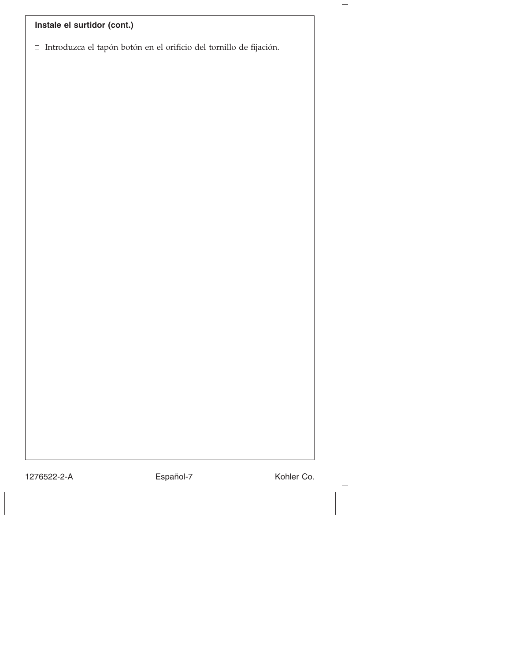# **Instale el surtidor (cont.)**

 $\hfill\Box$ Introduzca el tapón botón en el orificio del tornillo de fijación.

1276522-2-A Español-7 Kohler Co.

 $\overline{\phantom{0}}$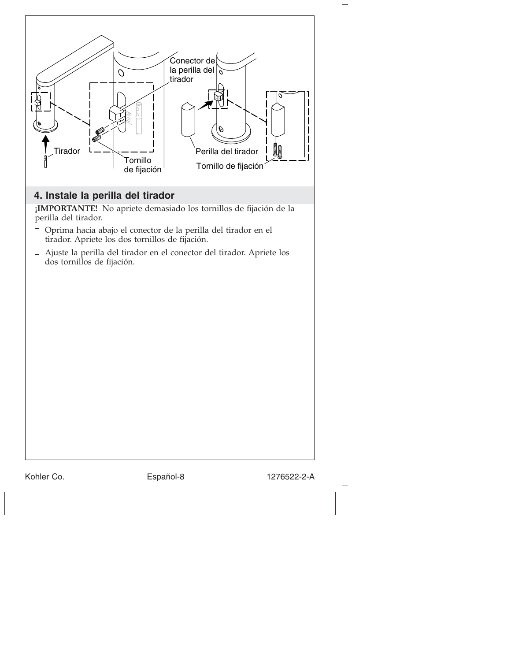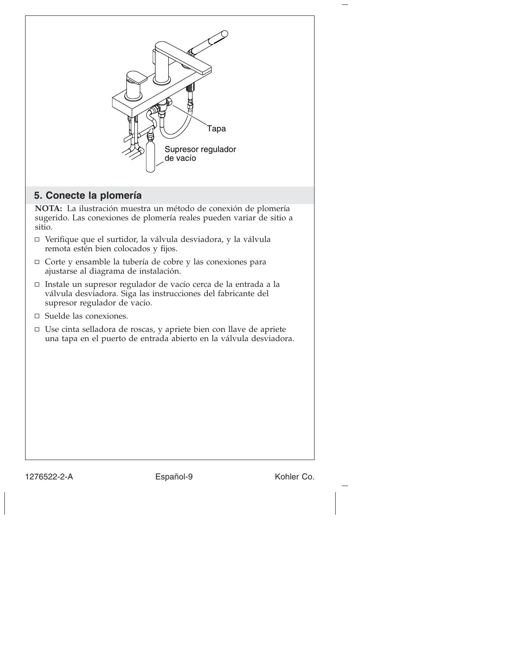

1276522-2-A Español-9 Kohler Co.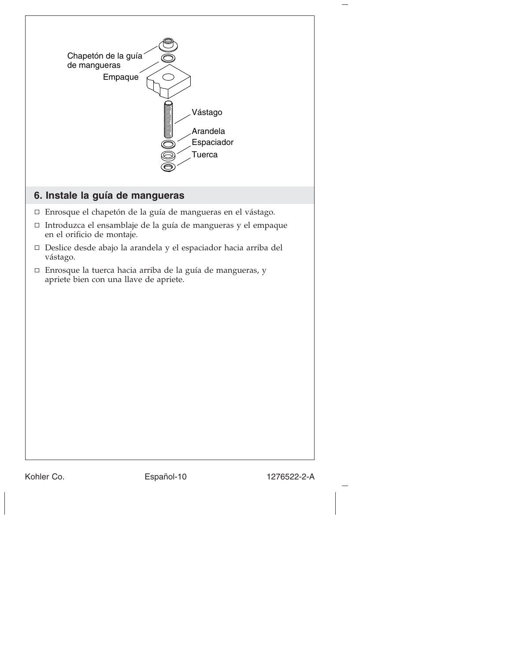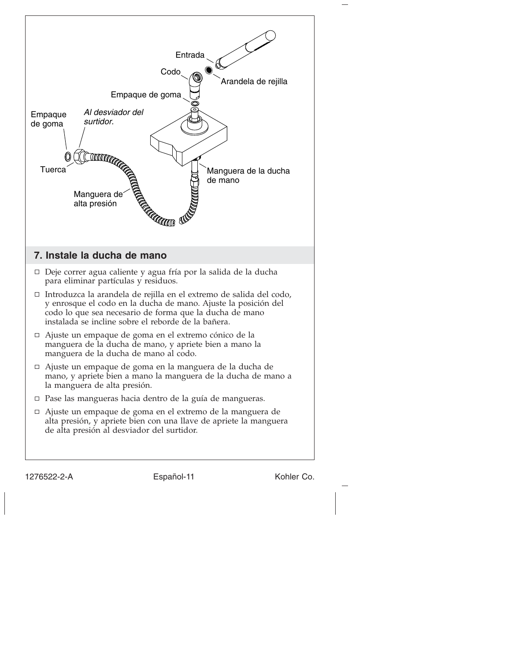

1276522-2-A Español-11 Kohler Co.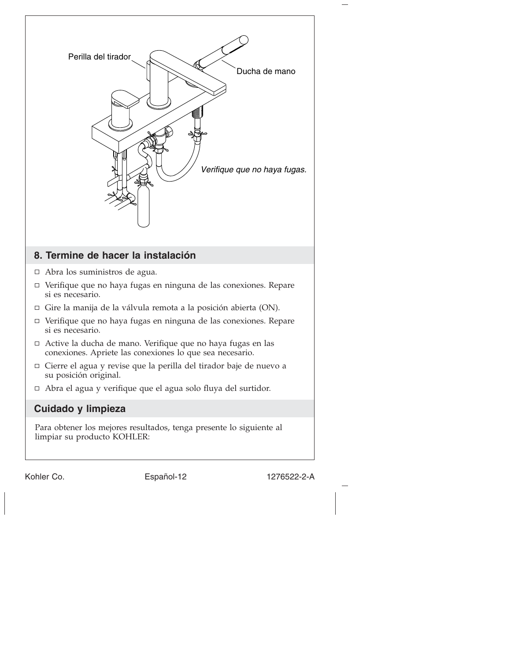

Kohler Co. Español-12 1276522-2-A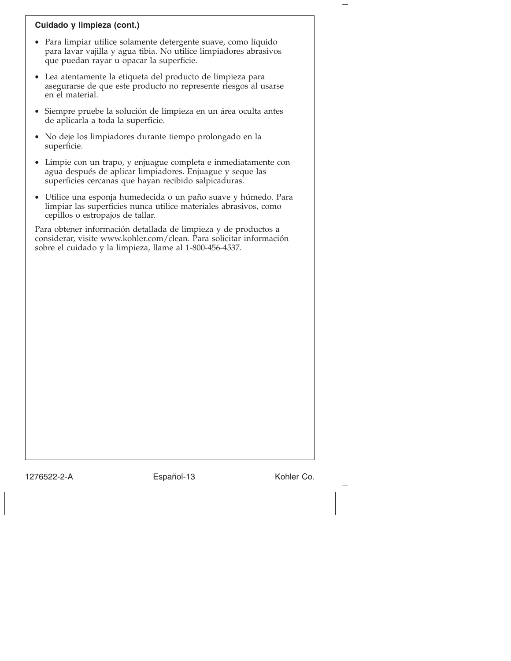# **Cuidado y limpieza (cont.)**

- Para limpiar utilice solamente detergente suave, como líquido para lavar vajilla y agua tibia. No utilice limpiadores abrasivos que puedan rayar u opacar la superficie.
- Lea atentamente la etiqueta del producto de limpieza para asegurarse de que este producto no represente riesgos al usarse en el material.
- Siempre pruebe la solución de limpieza en un área oculta antes de aplicarla a toda la superficie.
- No deje los limpiadores durante tiempo prolongado en la superficie.
- Limpie con un trapo, y enjuague completa e inmediatamente con agua después de aplicar limpiadores. Enjuague y seque las superficies cercanas que hayan recibido salpicaduras.
- Utilice una esponja humedecida o un paño suave y húmedo. Para limpiar las superficies nunca utilice materiales abrasivos, como cepillos o estropajos de tallar.

Para obtener información detallada de limpieza y de productos a considerar, visite www.kohler.com/clean. Para solicitar información sobre el cuidado y la limpieza, llame al 1-800-456-4537.

1276522-2-A Español-13 Kohler Co.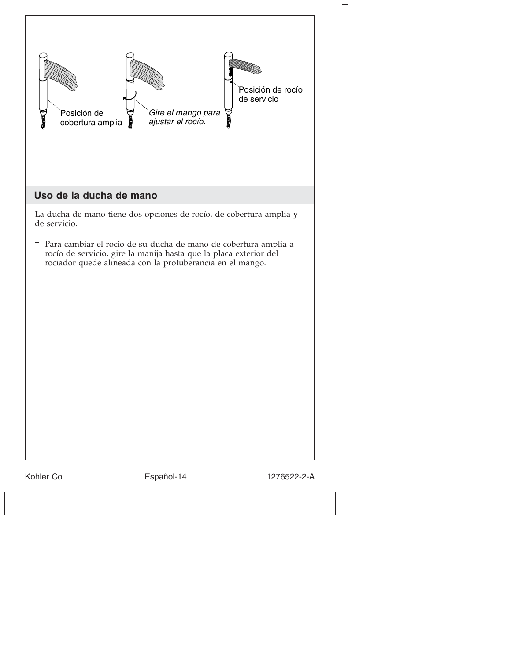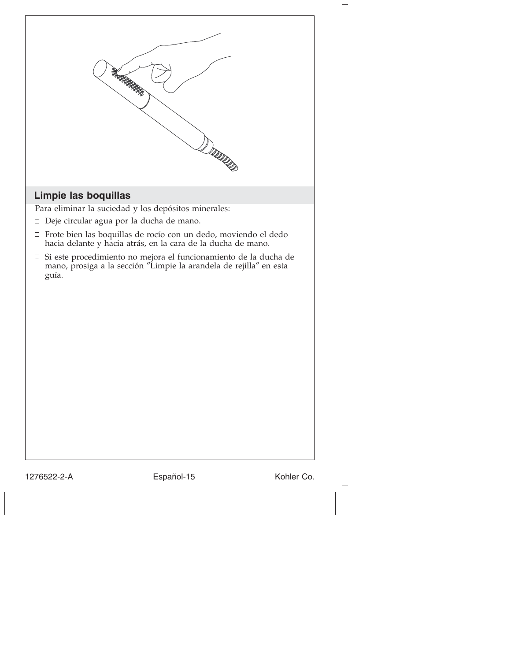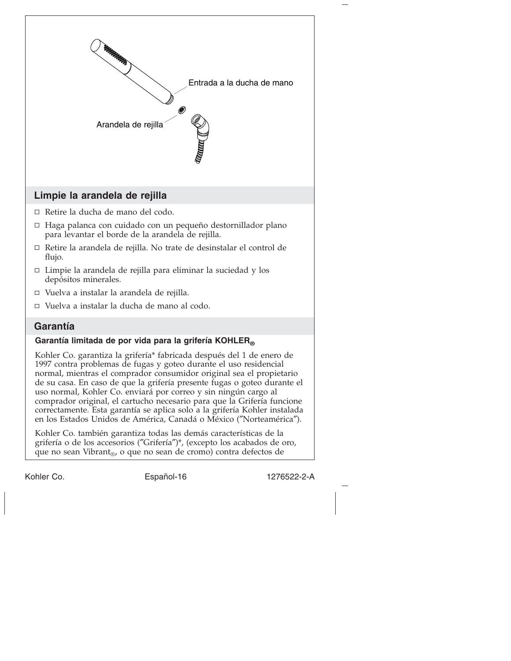

Kohler Co. Español-16 1276522-2-A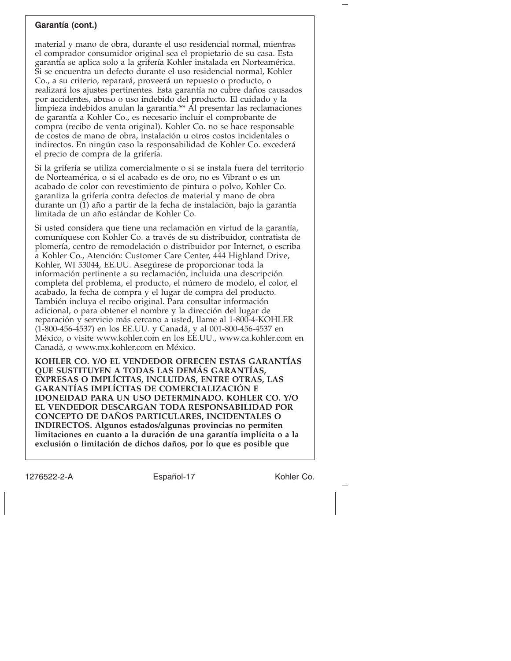# **Garantía (cont.)**

material y mano de obra, durante el uso residencial normal, mientras el comprador consumidor original sea el propietario de su casa. Esta garantía se aplica solo a la grifería Kohler instalada en Norteamérica. Si se encuentra un defecto durante el uso residencial normal, Kohler Co., a su criterio, reparará, proveerá un repuesto o producto, o realizará los ajustes pertinentes. Esta garantía no cubre daños causados por accidentes, abuso o uso indebido del producto. El cuidado y la limpieza indebidos anulan la garantía.\*\* Al presentar las reclamaciones de garantía a Kohler Co., es necesario incluir el comprobante de compra (recibo de venta original). Kohler Co. no se hace responsable de costos de mano de obra, instalación u otros costos incidentales o indirectos. En ningún caso la responsabilidad de Kohler Co. excederá el precio de compra de la grifería.

Si la grifería se utiliza comercialmente o si se instala fuera del territorio de Norteamérica, o si el acabado es de oro, no es Vibrant o es un acabado de color con revestimiento de pintura o polvo, Kohler Co. garantiza la grifería contra defectos de material y mano de obra durante un (1) año a partir de la fecha de instalación, bajo la garantía limitada de un año estándar de Kohler Co.

Si usted considera que tiene una reclamación en virtud de la garantía, comuníquese con Kohler Co. a través de su distribuidor, contratista de plomería, centro de remodelación o distribuidor por Internet, o escriba a Kohler Co., Atención: Customer Care Center, 444 Highland Drive, Kohler, WI 53044, EE.UU. Asegúrese de proporcionar toda la información pertinente a su reclamación, incluida una descripción completa del problema, el producto, el número de modelo, el color, el acabado, la fecha de compra y el lugar de compra del producto. También incluya el recibo original. Para consultar información adicional, o para obtener el nombre y la dirección del lugar de reparación y servicio más cercano a usted, llame al 1-800-4-KOHLER (1-800-456-4537) en los EE.UU. y Canadá, y al 001-800-456-4537 en México, o visite www.kohler.com en los EE.UU., www.ca.kohler.com en Canadá, o www.mx.kohler.com en México.

**KOHLER CO. Y/O EL VENDEDOR OFRECEN ESTAS GARANTÍAS QUE SUSTITUYEN A TODAS LAS DEMÁS GARANTÍAS, EXPRESAS O IMPLÍCITAS, INCLUIDAS, ENTRE OTRAS, LAS GARANTÍAS IMPLÍCITAS DE COMERCIALIZACIÓN E IDONEIDAD PARA UN USO DETERMINADO. KOHLER CO. Y/O EL VENDEDOR DESCARGAN TODA RESPONSABILIDAD POR CONCEPTO DE DAÑOS PARTICULARES, INCIDENTALES O INDIRECTOS. Algunos estados/algunas provincias no permiten limitaciones en cuanto a la duración de una garantía implícita o a la exclusión o limitación de dichos daños, por lo que es posible que**

1276522-2-A Español-17 Kohler Co.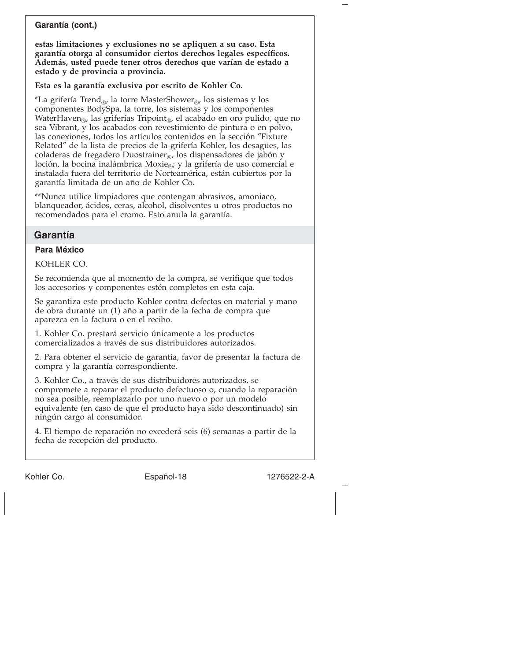# **Garantía (cont.)**

**estas limitaciones y exclusiones no se apliquen a su caso. Esta garantía otorga al consumidor ciertos derechos legales específicos. Además, usted puede tener otros derechos que varían de estado a estado y de provincia a provincia.**

**Esta es la garantía exclusiva por escrito de Kohler Co.**

\*La grifería Trend<sub>®</sub>, la torre MasterShower<sub>®</sub>, los sistemas y los componentes BodySpa, la torre, los sistemas y los componentes WaterHaven<sub>®</sub>, las griferías Tripoint<sub>®</sub>, el acabado en oro pulido, que no sea Vibrant, y los acabados con revestimiento de pintura o en polvo, las conexiones, todos los artículos contenidos en la sección ″Fixture Related″ de la lista de precios de la grifería Kohler, los desagües, las coladeras de fregadero Duostrainer<sub>®</sub>, los dispensadores de jabón y loción, la bocina inalámbrica Moxie $_{\odot}$ ; y la grifería de uso comercial e instalada fuera del territorio de Norteamérica, están cubiertos por la garantía limitada de un año de Kohler Co.

\*\*Nunca utilice limpiadores que contengan abrasivos, amoniaco, blanqueador, ácidos, ceras, alcohol, disolventes u otros productos no recomendados para el cromo. Esto anula la garantía.

# **Garantía**

# **Para México**

KOHLER CO.

Se recomienda que al momento de la compra, se verifique que todos los accesorios y componentes estén completos en esta caja.

Se garantiza este producto Kohler contra defectos en material y mano de obra durante un (1) año a partir de la fecha de compra que aparezca en la factura o en el recibo.

1. Kohler Co. prestará servicio únicamente a los productos comercializados a través de sus distribuidores autorizados.

2. Para obtener el servicio de garantía, favor de presentar la factura de compra y la garantía correspondiente.

3. Kohler Co., a través de sus distribuidores autorizados, se compromete a reparar el producto defectuoso o, cuando la reparación no sea posible, reemplazarlo por uno nuevo o por un modelo equivalente (en caso de que el producto haya sido descontinuado) sin ningún cargo al consumidor.

4. El tiempo de reparación no excederá seis (6) semanas a partir de la fecha de recepción del producto.

Kohler Co. Español-18 1276522-2-A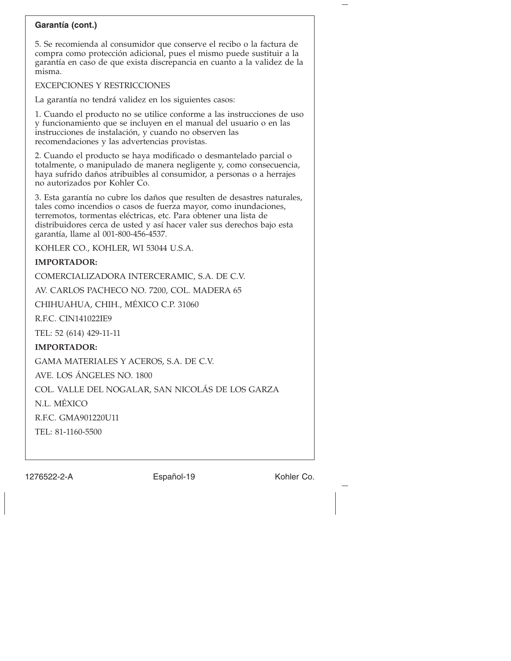# **Garantía (cont.)**

5. Se recomienda al consumidor que conserve el recibo o la factura de compra como protección adicional, pues el mismo puede sustituir a la garantía en caso de que exista discrepancia en cuanto a la validez de la misma.

#### EXCEPCIONES Y RESTRICCIONES

La garantía no tendrá validez en los siguientes casos:

1. Cuando el producto no se utilice conforme a las instrucciones de uso y funcionamiento que se incluyen en el manual del usuario o en las instrucciones de instalación, y cuando no observen las recomendaciones y las advertencias provistas.

2. Cuando el producto se haya modificado o desmantelado parcial o totalmente, o manipulado de manera negligente y, como consecuencia, haya sufrido daños atribuibles al consumidor, a personas o a herrajes no autorizados por Kohler Co.

3. Esta garantía no cubre los daños que resulten de desastres naturales, tales como incendios o casos de fuerza mayor, como inundaciones, terremotos, tormentas eléctricas, etc. Para obtener una lista de distribuidores cerca de usted y así hacer valer sus derechos bajo esta garantía, llame al 001-800-456-4537.

KOHLER CO., KOHLER, WI 53044 U.S.A.

### **IMPORTADOR:**

COMERCIALIZADORA INTERCERAMIC, S.A. DE C.V.

AV. CARLOS PACHECO NO. 7200, COL. MADERA 65

CHIHUAHUA, CHIH., MÉXICO C.P. 31060

R.F.C. CIN141022IE9

TEL: 52 (614) 429-11-11

### **IMPORTADOR:**

GAMA MATERIALES Y ACEROS, S.A. DE C.V.

AVE. LOS ÁNGELES NO. 1800

COL. VALLE DEL NOGALAR, SAN NICOLÁS DE LOS GARZA

N.L. MÉXICO

R.F.C. GMA901220U11

TEL: 81-1160-5500

1276522-2-A Español-19 Kohler Co.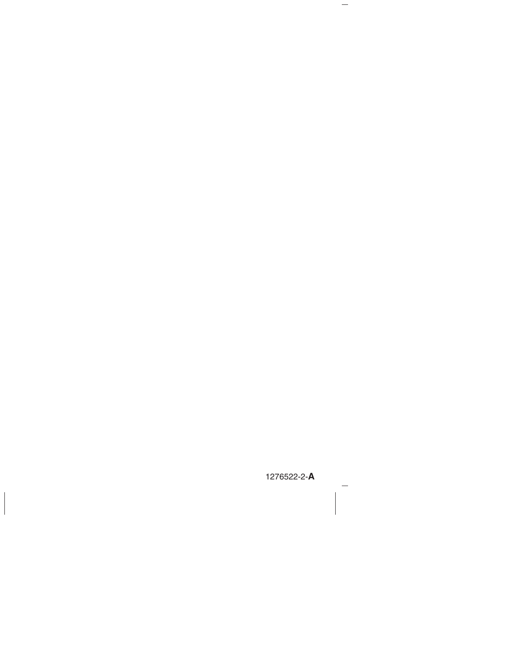1276522-2-**A**

 $\hspace{0.1cm}$   $\hspace{0.1cm}$ 

 $\overline{\phantom{m}}$